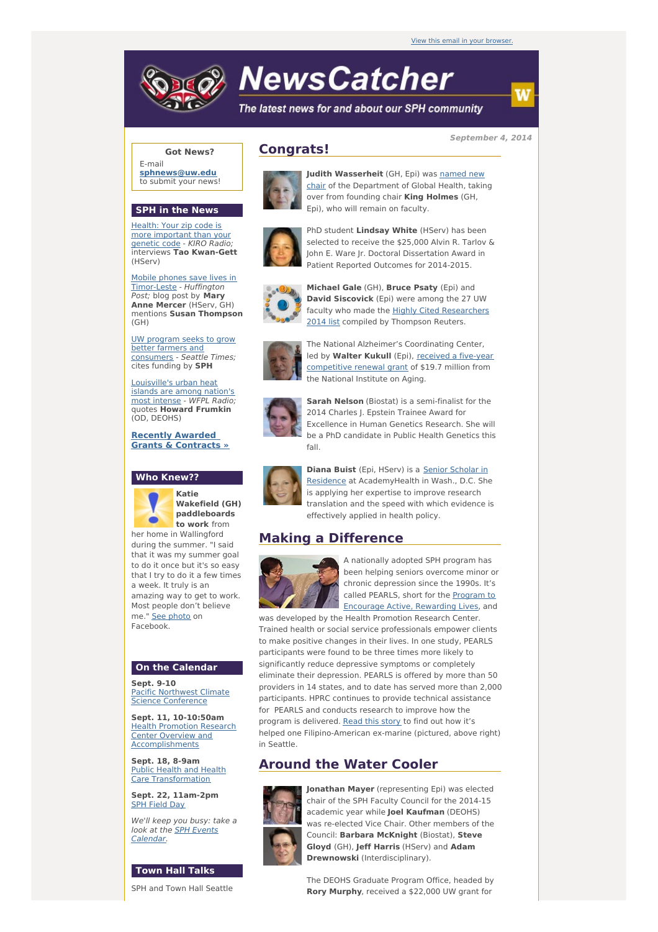

# **NewsCatcher**

The latest news for and about our SPH community

## **Got News?**

E-mail **[sphnews@uw.edu](mailto:sphnews@uw.edu)** to submit your news!

### **SPH in the News**

Health: Your zip code is more [important](http://engage.washington.edu/site/R?i=mFf3AzBuhDRsNanaS0WuoA) than your genetic code - KIRO Radio; interviews **Tao Kwan-Gett** (HServ)

Mobile phones save lives in [Timor-Leste](http://engage.washington.edu/site/R?i=KEcs-AqYrnKXa9E3jFmvDg) - Huffington Post; blog post by **Mary Anne Mercer** (HServ, GH) mentions **Susan Thompson** (GH)

UW program seeks to grow better farmers and [consumers](http://engage.washington.edu/site/R?i=EgLw5fGUjUhLg7piMDNVKw) - Seattle Times; cites funding by **SPH**

[Louisville's](http://engage.washington.edu/site/R?i=OVHZ002vmFcs8yQSK6OKvQ) urban heat islands are among nation's most intense - WFPL Radio; quotes **Howard Frumkin** (OD, DEOHS)

**Recently Awarded Grants & [Contracts](http://engage.washington.edu/site/R?i=mvfoagA-hhYqU747iZyGvA) »**





**Katie Wakefield (GH) paddleboards to work** from

her home in Wallingford during the summer. "I said that it was my summer goal to do it once but it's so easy that I try to do it a few times a week. It truly is an amazing way to get to work. Most people don't believe me." See [photo](http://engage.washington.edu/site/R?i=1cx5sgn3b8L2megY0DQP6Q) on Facebook.

## **On the Calendar**

**Sept. 9-10** Pacific Northwest Climate **Science [Conference](http://engage.washington.edu/site/R?i=yotXGXM3cqqL8dZH6ZmJEA)** 

**Sept. 11, 10-10:50am Health Promotion Research** Center Overview and **[Accomplishments](http://engage.washington.edu/site/R?i=3Q0kWq90krwq-pM9Po3EvQ)** 

**Sept. 18, 8-9am** Public Health and Health Care [Transformation](http://engage.washington.edu/site/R?i=CySbfUoWx_0u55JvI-b89A)

**Sept. 22, 11am-2pm** SPH [Field](http://engage.washington.edu/site/R?i=LYoRkxg_LqtGYLd9EPlroQ) Day

We'll keep you busy: take a look at the **SPH** Events [Calendar.](http://engage.washington.edu/site/R?i=PuMWAdGdN217-e6tc7VRdw)

#### **Town Hall Talks**

SPH and Town Hall Seattle

# **Congrats!**



**Judith [Wasserheit](http://engage.washington.edu/site/R?i=GN_W7mTyjLMsZY1hkPTveg)** (GH, Epi) was named new chair of the Department of Global Health, taking over from founding chair **King Holmes** (GH, Epi), who will remain on faculty.



PhD student **Lindsay White** (HServ) has been selected to receive the \$25,000 Alvin R. Tarlov & John E. Ware Jr. Doctoral Dissertation Award in Patient Reported Outcomes for 2014-2015.



**Michael Gale** (GH), **Bruce Psaty** (Epi) and **David Siscovick** (Epi) were among the 27 UW faculty who made the Highly Cited [Researchers](http://engage.washington.edu/site/R?i=j-z5jMueA_TX7lCSntQahg) 2014 list compiled by Thompson Reuters.



The National Alzheimer's Coordinating Center, led by **Walter Kukull** (Epi), received a five-year [competitive](http://engage.washington.edu/site/R?i=1YhruTU4jXY3VyK_NOLlZw) renewal grant of \$19.7 million from the National Institute on Aging.



**Sarah Nelson** (Biostat) is a semi-finalist for the 2014 Charles J. Epstein Trainee Award for Excellence in Human Genetics Research. She will be a PhD candidate in Public Health Genetics this fall.



**Diana Buist** (Epi, HServ) is a Senior Scholar in Residence at [AcademyHealth](http://engage.washington.edu/site/R?i=l-bYCtRQwRXzGoZYJf2KdA) in Wash., D.C. She is applying her expertise to improve research translation and the speed with which evidence is effectively applied in health policy.

# **Making a Difference**



A nationally adopted SPH program has been helping seniors overcome minor or chronic depression since the 1990s. It's called PEARLS, short for the Program to Encourage Active, [Rewarding](http://engage.washington.edu/site/R?i=sVoJLxISjLau8YOV-rwAJw) Lives, and was developed by the Health Promotion Research Center.

Trained health or social service professionals empower clients to make positive changes in their lives. In one study, PEARLS participants were found to be three times more likely to significantly reduce depressive symptoms or completely eliminate their depression. PEARLS is offered by more than 50 providers in 14 states, and to date has served more than 2,000 participants. HPRC continues to provide technical assistance for PEARLS and conducts research to improve how the program is delivered. [Read](http://engage.washington.edu/site/R?i=Il05IFlr1vs3Vi9qxgUwGQ) this story to find out how it's helped one Filipino-American ex-marine (pictured, above right) in Seattle.

# **Around the Water Cooler**



**Jonathan Mayer** (representing Epi) was elected chair of the SPH Faculty Council for the 2014-15 academic year while **Joel Kaufman** (DEOHS) was re-elected Vice Chair. Other members of the Council: **Barbara McKnight** (Biostat), **Steve Gloyd** (GH), **Jeff Harris** (HServ) and **Adam Drewnowski** (Interdisciplinary).

The DEOHS Graduate Program Office, headed by **Rory Murphy**, received a \$22,000 UW grant for

**September 4, 2014**